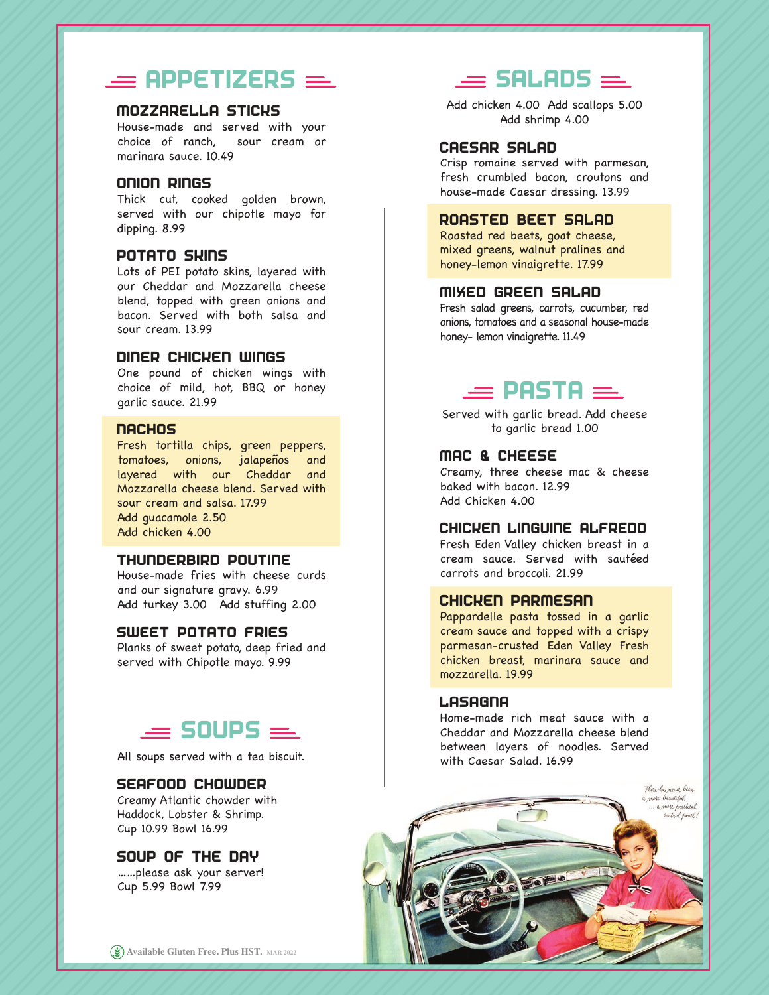# $=$  APPETIZERS  $=$

# MOZZARELLA STICKS

House-made and served with your choice of ranch, sour cream or marinara sauce. 10.49

### ONION RINGS

Thick cut, cooked golden brown, served with our chipotle mayo for dipping. 8.99

## POTATO SKINS

Lots of PEI potato skins, layered with our Cheddar and Mozzarella cheese blend, topped with green onions and bacon. Served with both salsa and sour cream. 13.99

### DINER CHICKEN WINGS

One pound of chicken wings with choice of mild, hot, BBQ or honey garlic sauce. 21.99

### **NACHOS**

Fresh tortilla chips, green peppers, tomatoes, onions, jalapeños and layered with our Cheddar and Mozzarella cheese blend. Served with sour cream and salsa. 17.99 Add guacamole 2.50 Add chicken 4.00

# THUNDERBIRD POUTINE

House-made fries with cheese curds and our signature gravy. 6.99 Add turkey 3.00 Add stuffing 2.00

## SWEET POTATO FRIES

Planks of sweet potato, deep fried and served with Chipotle mayo. 9.99

# $\equiv$  SOUPS  $\equiv$

All soups served with a tea biscuit.

# SEAFOOD CHOWDER

Creamy Atlantic chowder with Haddock, Lobster & Shrimp. Cup 10.99 Bowl 16.99

## SOUP OF THE DAY

……please ask your server! Cup 5.99 Bowl 7.99

# $\equiv$  SALADS  $\equiv$

Add chicken 4.00 Add scallops 5.00 Add shrimp 4.00

### CAESAR SALAD

Crisp romaine served with parmesan, fresh crumbled bacon, croutons and house-made Caesar dressing. 13.99

## ROASTED BEET SALAD

Roasted red beets, goat cheese, mixed greens, walnut pralines and honey-lemon vinaigrette. 17.99

## MIXED GREEN SALAD

Fresh salad greens, carrots, cucumber, red onions, tomatoes and a seasonal house-made honey- lemon vinaigrette. 11.49

# $\equiv$  PASTA  $\equiv$

Served with garlic bread. Add cheese to garlic bread 1.00

## MAC & CHEESE

Creamy, three cheese mac & cheese baked with bacon. 12.99 Add Chicken 4.00

#### CHICKEN LINGUINE ALFREDO

Fresh Eden Valley chicken breast in a cream sauce. Served with sautéed carrots and broccoli. 21.99

# CHICKEN PARMESAN

Pappardelle pasta tossed in a garlic cream sauce and topped with a crispy parmesan-crusted Eden Valley Fresh chicken breast, marinara sauce and mozzarella. 19.99

#### **LASAGNA**

Home-made rich meat sauce with a Cheddar and Mozzarella cheese blend between layers of noodles. Served with Caesar Salad. 16.99

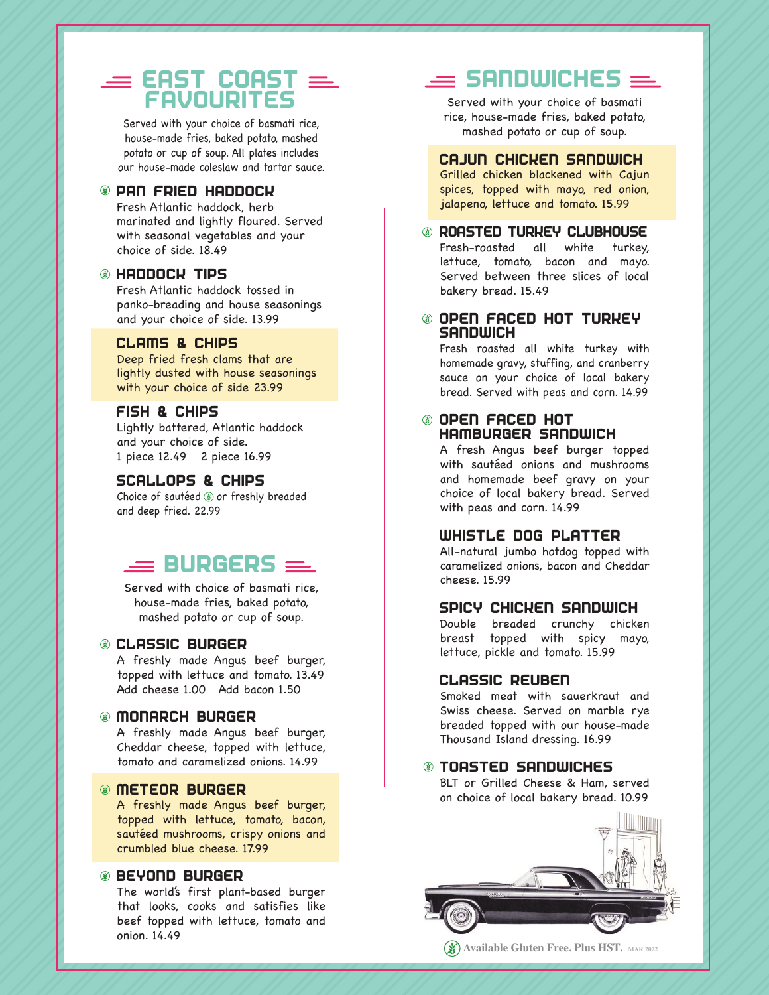# $\equiv$  EAST COAST  $\equiv$ FAVOURITES

Served with your choice of basmati rice, house-made fries, baked potato, mashed potato or cup of soup. All plates includes our house-made coleslaw and tartar sauce.

## PAN FRIED HADDOCK

Fresh Atlantic haddock, herb marinated and lightly floured. Served with seasonal vegetables and your choice of side. 18.49

## HADDOCK TIPS

Fresh Atlantic haddock tossed in panko-breading and house seasonings and your choice of side. 13.99

## CLAMS & CHIPS

Deep fried fresh clams that are lightly dusted with house seasonings with your choice of side 23.99

# FISH & CHIPS

Lightly battered, Atlantic haddock and your choice of side. 1 piece 12.49 2 piece 16.99

#### SCALLOPS & CHIPS

Choice of sautéed (8) or freshly breaded and deep fried. 22.99

# $=$  BURGERS  $=$

Served with choice of basmati rice, house-made fries, baked potato, mashed potato or cup of soup.

# CLASSIC BURGER

A freshly made Angus beef burger, topped with lettuce and tomato. 13.49 Add cheese 1.00 Add bacon 1.50

### MONARCH BURGER

A freshly made Angus beef burger, Cheddar cheese, topped with lettuce, tomato and caramelized onions. 14.99

# METEOR BURGER

A freshly made Angus beef burger, topped with lettuce, tomato, bacon, sautéed mushrooms, crispy onions and crumbled blue cheese. 17.99

# BEYOND BURGER

The world's first plant-based burger that looks, cooks and satisfies like beef topped with lettuce, tomato and onion. 14.49

# $\equiv$  SANDWICHES  $=$

Served with your choice of basmati rice, house-made fries, baked potato, mashed potato or cup of soup.

### CAJUN CHICKEN SANDWICH

Grilled chicken blackened with Cajun spices, topped with mayo, red onion, jalapeno, lettuce and tomato. 15.99

ROASTED TURKEY CLUBHOUSE Fresh-roasted all white turkey, lettuce, tomato, bacon and mayo. Served between three slices of local bakery bread. 15.49

# OPEN FACED HOT TURKEY **SANDWICH**

Fresh roasted all white turkey with homemade gravy, stuffing, and cranberry sauce on your choice of local bakery bread. Served with peas and corn. 14.99

# OPEN FACED HOT HAMBURGER SANDWICH

A fresh Angus beef burger topped with sautéed onions and mushrooms and homemade beef gravy on your choice of local bakery bread. Served with peas and corn. 14.99

# WHISTLE DOG PLATTER

All-natural jumbo hotdog topped with caramelized onions, bacon and Cheddar cheese. 15.99

# SPICY CHICKEN SANDWICH

Double breaded crunchy chicken breast topped with spicy mayo, lettuce, pickle and tomato. 15.99

#### CLASSIC REUBEN

Smoked meat with sauerkraut and Swiss cheese. Served on marble rye breaded topped with our house-made Thousand Island dressing. 16.99

# TOASTED SANDWICHES

BLT or Grilled Cheese & Ham, served on choice of local bakery bread. 10.99



**Available Gluten Free. Plus HST. MAR 2022**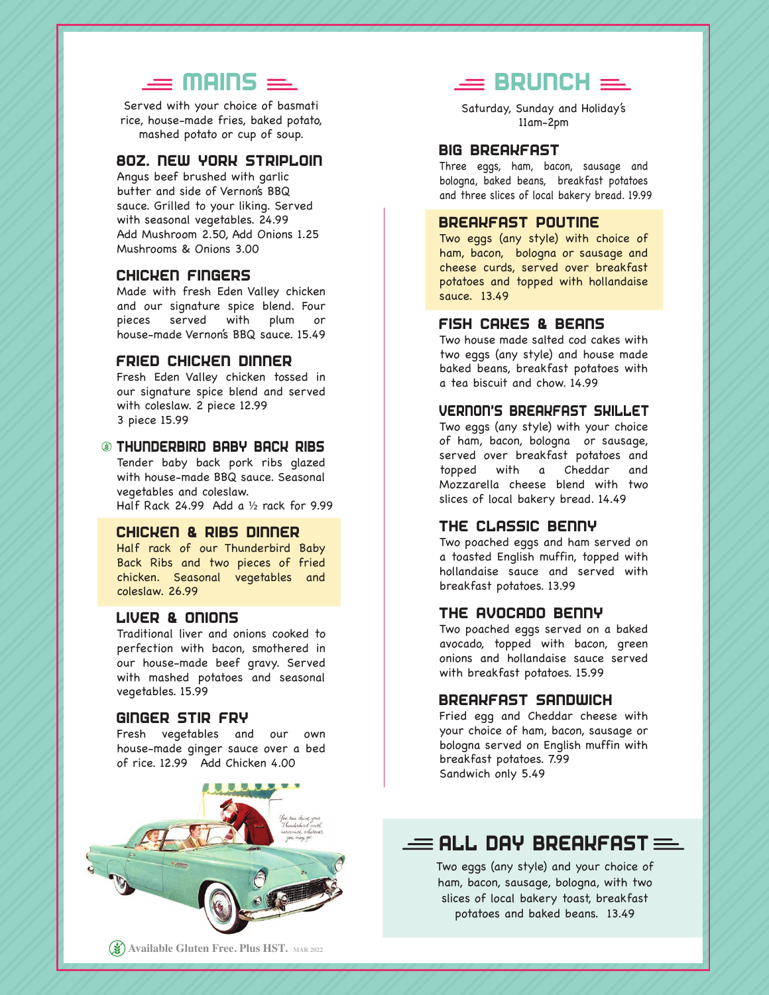# $\equiv$  MAINS  $\equiv$

Served with your choice of basmati rice, house-made fries, baked potato, mashed potato or cup of soup.

# 8OZ. NEW YORK STRIPLOIN

Angus beef brushed with garlic butter and side of Vernon's BBQ sauce. Grilled to your liking. Served with seasonal vegetables. 24.99 Add Mushroom 2.50, Add Onions 1.25 Mushrooms & Onions 3.00

## CHICKEN FINGERS

Made with fresh Eden Valley chicken and our signature spice blend. Four pieces served with plum or house-made Vernon's BBQ sauce. 15.49

# FRIED CHICKEN DINNER

Fresh Eden Valley chicken tossed in our signature spice blend and served with coleslaw. 2 piece 12.99 3 piece 15.99

#### THUNDERBIRD BABY BACK RIBS

Tender baby back pork ribs glazed with house-made BBQ sauce. Seasonal vegetables and coleslaw. Half Rack 24.99 Add a ½ rack for 9.99

### CHICKEN & RIBS DINNER

Half rack of our Thunderbird Baby Back Ribs and two pieces of fried chicken. Seasonal vegetables and coleslaw. 26.99

# LIVER & ONIONS

Traditional liver and onions cooked to perfection with bacon, smothered in our house-made beef gravy. Served with mashed potatoes and seasonal vegetables. 15.99

# GINGER STIR FRY

Fresh vegetables and our own house-made ginger sauce over a bed of rice. 12.99 Add Chicken 4.00

# $=$  BRUNCH  $=$

Saturday, Sunday and Holiday's 11am-2pm

### BIG BREAKFAST

Three eggs, ham, bacon, sausage and bologna, baked beans, breakfast potatoes and three slices of local bakery bread. 19.99

# BREAKFAST POUTINE

Two eggs (any style) with choice of ham, bacon, bologna or sausage and cheese curds, served over breakfast potatoes and topped with hollandaise sauce. 13.49

## FISH CAKES & BEANS

Two house made salted cod cakes with two eggs (any style) and house made baked beans, breakfast potatoes with a tea biscuit and chow. 14.99

## VERNON'S BREAKFAST SKILLET

Two eggs (any style) with your choice of ham, bacon, bologna or sausage, served over breakfast potatoes and topped with a Cheddar and Mozzarella cheese blend with two slices of local bakery bread. 14.49

## THE CLASSIC BENNY

Two poached eggs and ham served on a toasted English muffin, topped with hollandaise sauce and served with breakfast potatoes. 13.99

#### THE AVOCADO BENNY

Two poached eggs served on a baked avocado, topped with bacon, green onions and hollandaise sauce served with breakfast potatoes. 15.99

#### BREAKFAST SANDWICH

Fried egg and Cheddar cheese with your choice of ham, bacon, sausage or bologna served on English muffin with breakfast potatoes. 7.99 Sandwich only 5.49

# $\equiv$  ALL DAY BREAKFAST  $\equiv$

Two eggs (any style) and your choice of ham, bacon, sausage, bologna, with two slices of local bakery toast, breakfast potatoes and baked beans. 13.49

**Available Gluten Free. Plus HST. MAR 2022**